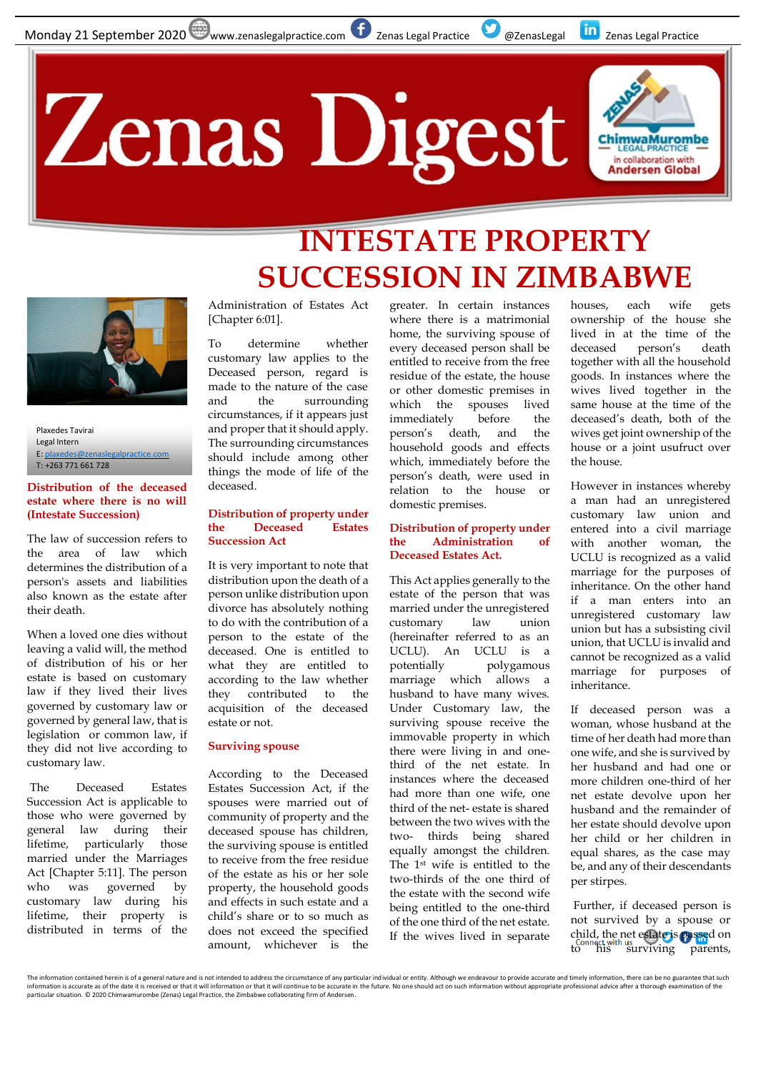## Zenas Digest



### **INTESTATE PROPERTY SUCCESSION IN ZIMBABWE**



Plaxedes Tavirai Legal Intern E[: plaxedes@zenaslegalpractice.com](mailto:plaxedes@zenaslegalpractice.com) T: +263 771 661 728

#### **Distribution of the deceased estate where there is no will (Intestate Succession)**

The law of succession refers to the area of law which determines the distribution of a person's assets and liabilities also known as the estate after their death.

When a loved one dies without leaving a valid will, the method of distribution of his or her estate is based on customary law if they lived their lives governed by customary law or governed by general law, that is legislation or common law, if they did not live according to customary law.

The Deceased Estates Succession Act is applicable to those who were governed by general law during their lifetime, particularly those married under the Marriages Act [Chapter 5:11]. The person who was governed by customary law during his lifetime, their property is distributed in terms of the

Administration of Estates Act [Chapter 6:01].

To determine whether customary law applies to the Deceased person, regard is made to the nature of the case and the surrounding circumstances, if it appears just and proper that it should apply. The surrounding circumstances should include among other things the mode of life of the deceased.

#### **Distribution of property under the Deceased Estates Succession Act**

It is very important to note that distribution upon the death of a person unlike distribution upon divorce has absolutely nothing to do with the contribution of a person to the estate of the deceased. One is entitled to what they are entitled to according to the law whether they contributed to the acquisition of the deceased estate or not.

#### **Surviving spouse**

According to the Deceased Estates Succession Act, if the spouses were married out of community of property and the deceased spouse has children, the surviving spouse is entitled to receive from the free residue of the estate as his or her sole property, the household goods and effects in such estate and a child's share or to so much as does not exceed the specified amount, whichever is the

greater. In certain instances where there is a matrimonial home, the surviving spouse of every deceased person shall be entitled to receive from the free residue of the estate, the house or other domestic premises in which the spouses lived immediately before the person's death, and the household goods and effects which, immediately before the person's death, were used in relation to the house or domestic premises.

#### **Distribution of property under the Administration of Deceased Estates Act.**

This Act applies generally to the estate of the person that was married under the unregistered customary law union (hereinafter referred to as an UCLU). An UCLU is a potentially polygamous marriage which allows a husband to have many wives. Under Customary law, the surviving spouse receive the immovable property in which there were living in and onethird of the net estate. In instances where the deceased had more than one wife, one third of the net- estate is shared between the two wives with the two- thirds being shared equally amongst the children. The 1st wife is entitled to the two-thirds of the one third of the estate with the second wife being entitled to the one-third of the one third of the net estate. If the wives lived in separate

houses, each wife gets ownership of the house she lived in at the time of the deceased person's death together with all the household goods. In instances where the wives lived together in the same house at the time of the deceased's death, both of the wives get joint ownership of the house or a joint usufruct over the house.

However in instances whereby a man had an unregistered customary law union and entered into a civil marriage with another woman, the UCLU is recognized as a valid marriage for the purposes of inheritance. On the other hand if a man enters into an unregistered customary law union but has a subsisting civil union, that UCLU is invalid and cannot be recognized as a valid marriage for purposes of inheritance.

If deceased person was a woman, whose husband at the time of her death had more than one wife, and she is survived by her husband and had one or more children one-third of her net estate devolve upon her husband and the remainder of her estate should devolve upon her child or her children in equal shares, as the case may be, and any of their descendants per stirpes.

Further, if deceased person is not survived by a spouse or child, the net estate is passed on CILILO, LIE HET ERRICLE TO THE CONSERVANCE CONSERVANCE CONSERVANCE CONSERVANCE

The information contained herein is of a general nature and is not intended to address the circumstance of any particular individual or entity. Although we endeavour to provide accurate and timely information, there can be particular situation. © 2020 Chimwamurombe (Zenas) Legal Practice, the Zimbabwe collaborating firm of Andersen.